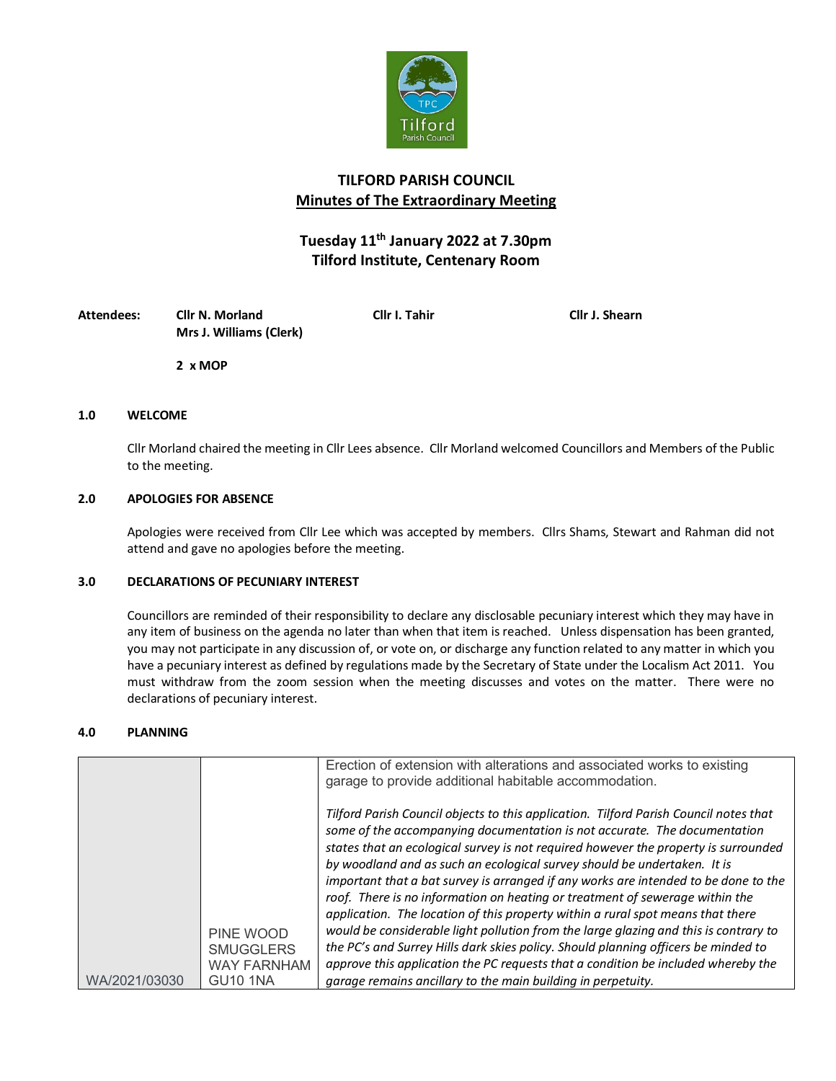

## **TILFORD PARISH COUNCIL Minutes of The Extraordinary Meeting**

# **Tuesday 11th January 2022 at 7.30pm Tilford Institute, Centenary Room**

| Attendees: | Cllr N. Morland         | Cllr I. Tahir | <b>Cllr J. Shearn</b> |
|------------|-------------------------|---------------|-----------------------|
|            | Mrs J. Williams (Clerk) |               |                       |

**2 x MOP**

### **1.0 WELCOME**

Cllr Morland chaired the meeting in Cllr Lees absence. Cllr Morland welcomed Councillors and Members of the Public to the meeting.

### **2.0 APOLOGIES FOR ABSENCE**

Apologies were received from Cllr Lee which was accepted by members. Cllrs Shams, Stewart and Rahman did not attend and gave no apologies before the meeting.

### **3.0 DECLARATIONS OF PECUNIARY INTEREST**

Councillors are reminded of their responsibility to declare any disclosable pecuniary interest which they may have in any item of business on the agenda no later than when that item is reached. Unless dispensation has been granted, you may not participate in any discussion of, or vote on, or discharge any function related to any matter in which you have a pecuniary interest as defined by regulations made by the Secretary of State under the Localism Act 2011. You must withdraw from the zoom session when the meeting discusses and votes on the matter. There were no declarations of pecuniary interest.

#### **4.0 PLANNING**

|                                                                                         | Erection of extension with alterations and associated works to existing<br>garage to provide additional habitable accommodation.                                                                                                                                                                                                      |
|-----------------------------------------------------------------------------------------|---------------------------------------------------------------------------------------------------------------------------------------------------------------------------------------------------------------------------------------------------------------------------------------------------------------------------------------|
|                                                                                         | Tilford Parish Council objects to this application. Tilford Parish Council notes that<br>some of the accompanying documentation is not accurate. The documentation<br>states that an ecological survey is not required however the property is surrounded<br>by woodland and as such an ecological survey should be undertaken. It is |
|                                                                                         | important that a bat survey is arranged if any works are intended to be done to the<br>roof. There is no information on heating or treatment of sewerage within the<br>application. The location of this property within a rural spot means that there                                                                                |
| PINE WOOD<br><b>SMUGGLERS</b><br><b>WAY FARNHAM</b><br>WA/2021/03030<br><b>GU10 1NA</b> | would be considerable light pollution from the large glazing and this is contrary to<br>the PC's and Surrey Hills dark skies policy. Should planning officers be minded to<br>approve this application the PC requests that a condition be included whereby the<br>garage remains ancillary to the main building in perpetuity.       |